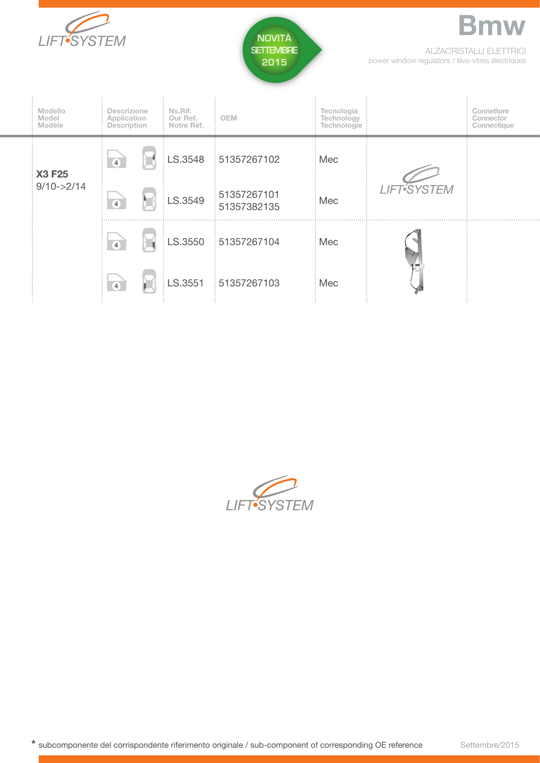



ALZACRISTALLI ELETTRICI power window regulators / lève-vitres électriques

**Bmw**

| <b>Modello</b><br>Model<br>Modèle | <b>Descrizione</b><br>Application<br>Description |  | Ns.Rif.<br>Our Ref.<br>Notre Réf. | <b>OEM</b>                 | Tecnologia<br>Technology<br>Technologie |                    | Connettore<br>Connector<br>Connectique |
|-----------------------------------|--------------------------------------------------|--|-----------------------------------|----------------------------|-----------------------------------------|--------------------|----------------------------------------|
| X3 F25<br>$9/10 - >2/14$          | $\overline{4}$                                   |  |                                   | LS.3548 51357267102        | Mec                                     | <b>LIFT</b> SYSTEM |                                        |
|                                   | $\overline{4}$                                   |  | LS.3549                           | 51357267101<br>51357382135 | Mec                                     |                    |                                        |
|                                   | $\overline{4}$                                   |  |                                   | LS.3550 51357267104        | Mec                                     |                    |                                        |
|                                   | $\overline{4}$                                   |  | LS.3551                           | 51357267103                | Mec                                     |                    |                                        |

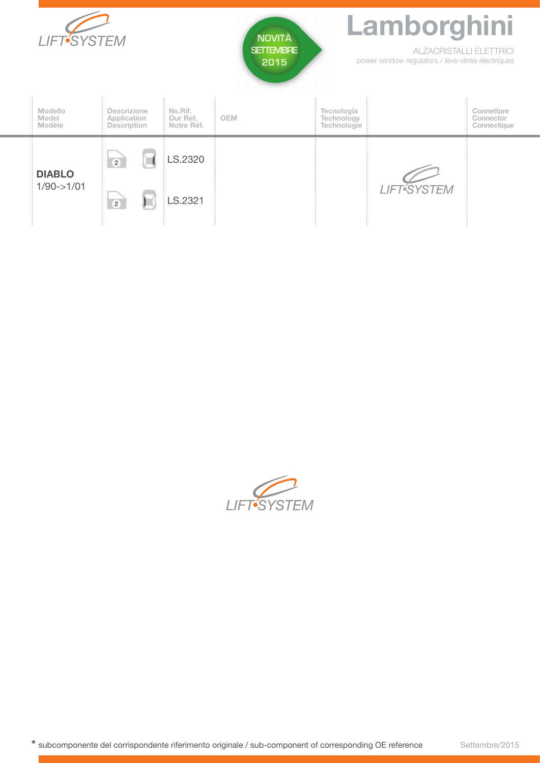| <b>LIFT-SYSTEM</b>               |                                                  |                                   | <b>NOVITÀ</b><br><b>SETTEMBRE</b><br>2015 | Lamborghini<br><b>ALZACRISTALLI ELETTRICI</b><br>power window regulators / lève-vitres électriques |                          |                                        |  |
|----------------------------------|--------------------------------------------------|-----------------------------------|-------------------------------------------|----------------------------------------------------------------------------------------------------|--------------------------|----------------------------------------|--|
| Modello<br>Model<br>Modèle       | <b>Descrizione</b><br>Application<br>Description | Ns.Rif.<br>Our Ref.<br>Notre Réf. | <b>OEM</b>                                | Tecnologia<br>Technology<br>Technologie                                                            |                          | Connettore<br>Connector<br>Connectique |  |
| <b>DIABLO</b><br>$1/90 - > 1/01$ | $\overline{2}$                                   | LS.2320                           |                                           |                                                                                                    |                          |                                        |  |
|                                  | $\overline{2}$                                   | LS.2321                           |                                           |                                                                                                    | LIFT <sup>5</sup> SYSTEM |                                        |  |

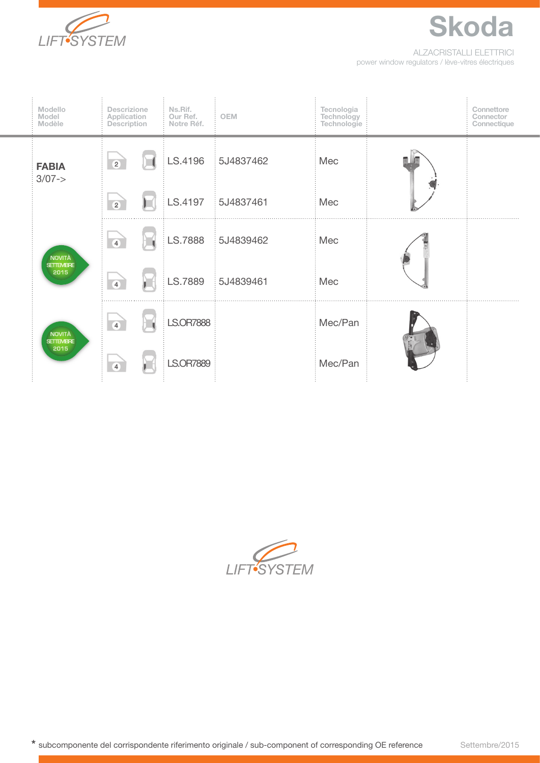

ALZACRISTALLI ELETTRICI power window regulators / lève-vitres électriques

**Skoda**

|  | Modello<br>Model<br>Modèle                | <b>Descrizione</b><br>Application<br>Description |  | Ns.Rif.<br>Our Ref.<br>Notre Réf. | <b>OEM</b>        | Tecnologia<br>Technology<br>Technologie |  | Connettore<br>Connector<br>Connectique |
|--|-------------------------------------------|--------------------------------------------------|--|-----------------------------------|-------------------|-----------------------------------------|--|----------------------------------------|
|  | <b>FABIA</b><br>$3/07->$                  | $\overline{2}$                                   |  | LS.4196                           | 5J4837462         | Mec                                     |  |                                        |
|  |                                           | $\overline{2}$                                   |  |                                   | LS.4197 5J4837461 | Mec                                     |  |                                        |
|  | <b>NOVITÀ</b><br><b>SETTEMBRE</b><br>2015 | $\overline{4}$                                   |  | LS.7888                           | 5J4839462         | Mec                                     |  |                                        |
|  |                                           | $\overline{4}$                                   |  | LS.7889                           | 5J4839461         | Mec                                     |  |                                        |
|  | NOVITÀ<br><b>SETTEMBRE</b><br>2015        | $\overline{4}$                                   |  | <b>LS.OR7888</b>                  |                   | Mec/Pan                                 |  |                                        |
|  |                                           | $\overline{4}$                                   |  | LS.OR7889                         |                   | Mec/Pan                                 |  |                                        |